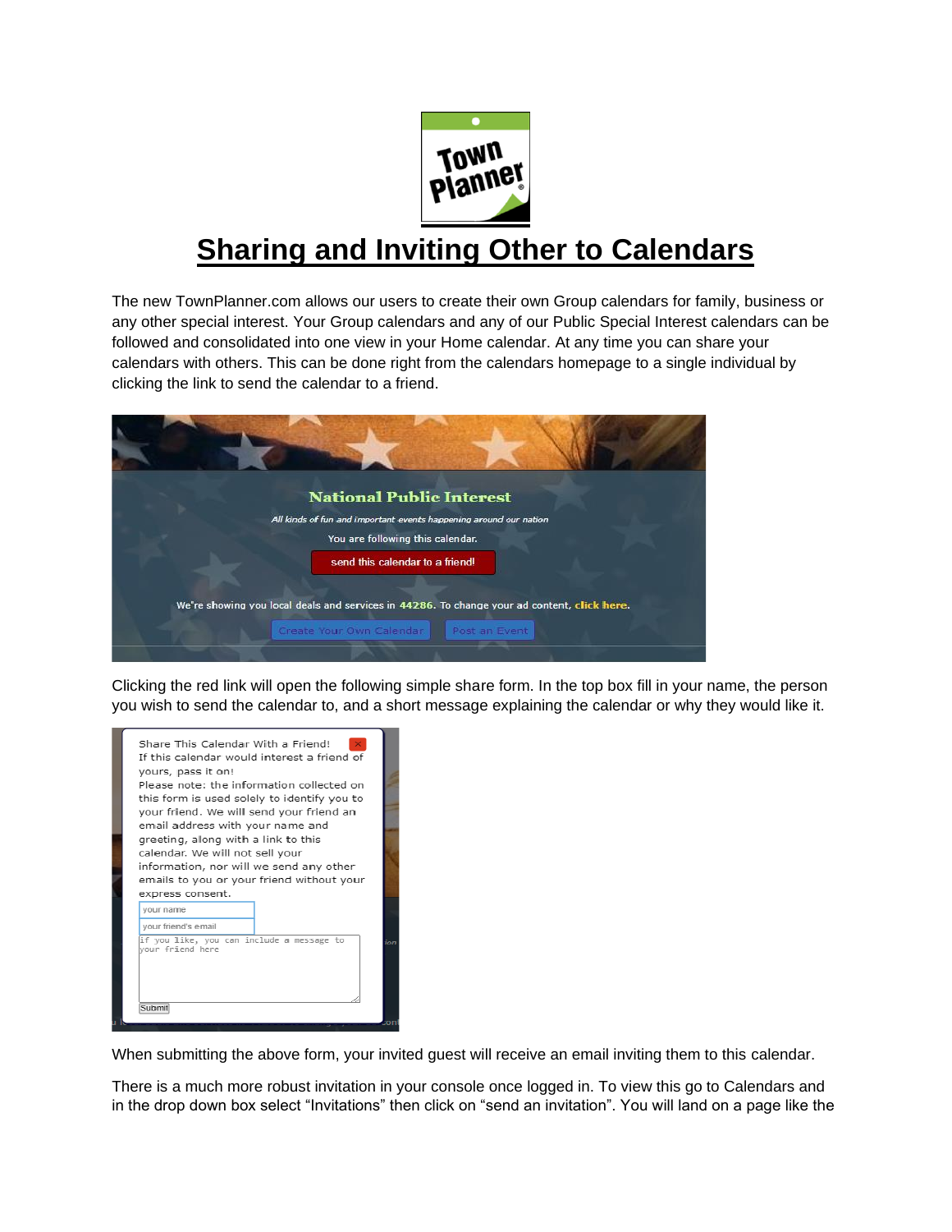

# **Sharing and Inviting Other to Calendars**

The new TownPlanner.com allows our users to create their own Group calendars for family, business or any other special interest. Your Group calendars and any of our Public Special Interest calendars can be followed and consolidated into one view in your Home calendar. At any time you can share your calendars with others. This can be done right from the calendars homepage to a single individual by clicking the link to send the calendar to a friend.



Clicking the red link will open the following simple share form. In the top box fill in your name, the person you wish to send the calendar to, and a short message explaining the calendar or why they would like it.

| express consent.    | information, nor will we send any other<br>emails to you or your friend without your |
|---------------------|--------------------------------------------------------------------------------------|
| vour name           |                                                                                      |
| your friend's email |                                                                                      |
|                     | if you like, you can include a message to                                            |

When submitting the above form, your invited guest will receive an email inviting them to this calendar.

There is a much more robust invitation in your console once logged in. To view this go to Calendars and in the drop down box select "Invitations" then click on "send an invitation". You will land on a page like the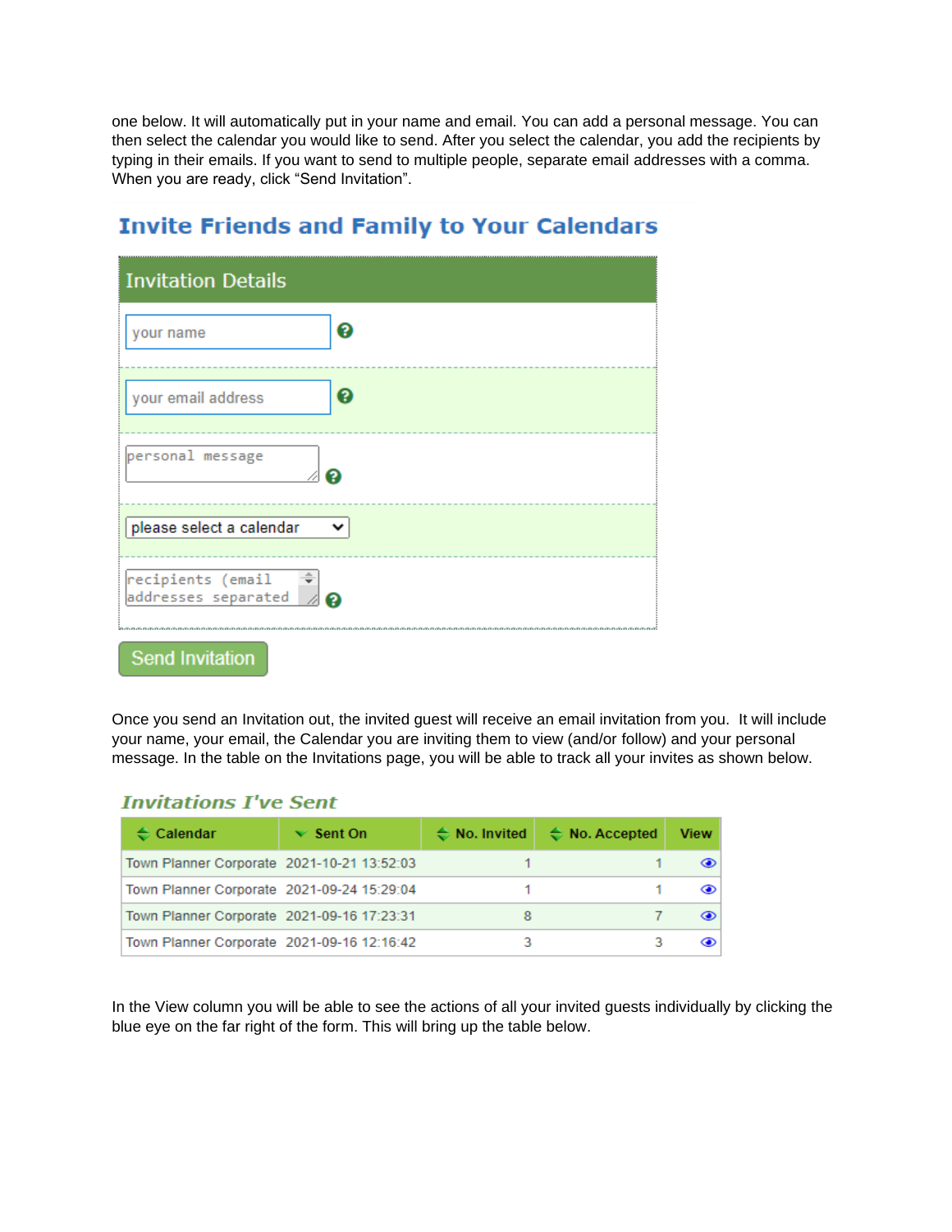one below. It will automatically put in your name and email. You can add a personal message. You can then select the calendar you would like to send. After you select the calendar, you add the recipients by typing in their emails. If you want to send to multiple people, separate email addresses with a comma. When you are ready, click "Send Invitation".

| <b>Invitation Details</b>                                     |   |
|---------------------------------------------------------------|---|
| your name                                                     | 2 |
| your email address                                            | ? |
| personal message                                              | อ |
| please select a calendar                                      | v |
| recipients (email $\Rightarrow$<br>addresses separated $\not$ |   |

# **Invite Friends and Family to Your Calendars**

Once you send an Invitation out, the invited guest will receive an email invitation from you. It will include your name, your email, the Calendar you are inviting them to view (and/or follow) and your personal message. In the table on the Invitations page, you will be able to track all your invites as shown below.

## **Invitations I've Sent**

**Send Invitation** 

| $\div$ Calendar                            | $\vee$ Sent On | $\Leftrightarrow$ No. Invited | $\Leftrightarrow$ No. Accepted | <b>View</b> |
|--------------------------------------------|----------------|-------------------------------|--------------------------------|-------------|
| Town Planner Corporate 2021-10-21 13:52:03 |                |                               |                                |             |
| Town Planner Corporate 2021-09-24 15:29:04 |                |                               |                                |             |
| Town Planner Corporate 2021-09-16 17:23:31 |                | 8                             |                                |             |
| Town Planner Corporate 2021-09-16 12:16:42 |                |                               |                                |             |

In the View column you will be able to see the actions of all your invited guests individually by clicking the blue eye on the far right of the form. This will bring up the table below.